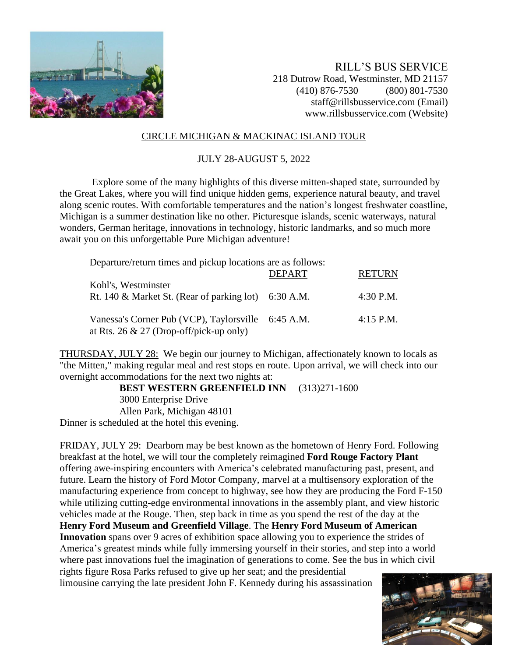

RILL'S BUS SERVICE 218 Dutrow Road, Westminster, MD 21157 (410) 876-7530 (800) 801-7530 staff@rillsbusservice.com (Email) www.rillsbusservice.com (Website)

## CIRCLE MICHIGAN & MACKINAC ISLAND TOUR

## JULY 28-AUGUST 5, 2022

Explore some of the many highlights of this diverse mitten-shaped state, surrounded by the Great Lakes, where you will find unique hidden gems, experience natural beauty, and travel along scenic routes. With comfortable temperatures and the nation's longest freshwater coastline, Michigan is a summer destination like no other. Picturesque islands, scenic waterways, natural wonders, German heritage, innovations in technology, historic landmarks, and so much more await you on this unforgettable Pure Michigan adventure!

Departure/return times and pickup locations are as follows:

|                                                                                                  | <b>DEPART</b> | <b>RETURN</b> |
|--------------------------------------------------------------------------------------------------|---------------|---------------|
| Kohl's, Westminster<br>Rt. 140 & Market St. (Rear of parking lot) $6:30$ A.M.                    |               | 4:30 P.M.     |
| Vanessa's Corner Pub (VCP), Taylorsville 6:45 A.M.<br>at Rts. 26 $\&$ 27 (Drop-off/pick-up only) |               | 4:15 P.M.     |

THURSDAY, JULY 28: We begin our journey to Michigan, affectionately known to locals as "the Mitten," making regular meal and rest stops en route. Upon arrival, we will check into our overnight accommodations for the next two nights at:

**BEST WESTERN GREENFIELD INN** (313)271-1600 3000 Enterprise Drive Allen Park, Michigan 48101 Dinner is scheduled at the hotel this evening.

FRIDAY, JULY 29: Dearborn may be best known as the hometown of Henry Ford. Following breakfast at the hotel, we will tour the completely reimagined **Ford Rouge Factory Plant** offering awe-inspiring encounters with America's celebrated manufacturing past, present, and future. Learn the history of Ford Motor Company, marvel at a multisensory exploration of the manufacturing experience from concept to highway, see how they are producing the Ford F-150 while utilizing cutting-edge environmental innovations in the assembly plant, and view historic vehicles made at the Rouge. Then, step back in time as you spend the rest of the day at the **Henry Ford Museum and Greenfield Village**. The **Henry Ford Museum of American Innovation** spans over 9 acres of exhibition space allowing you to experience the strides of America's greatest minds while fully immersing yourself in their stories, and step into a world where past innovations fuel the imagination of generations to come. See the bus in which civil rights figure Rosa Parks refused to give up her seat; and the presidential limousine carrying the late president John F. Kennedy during his assassination

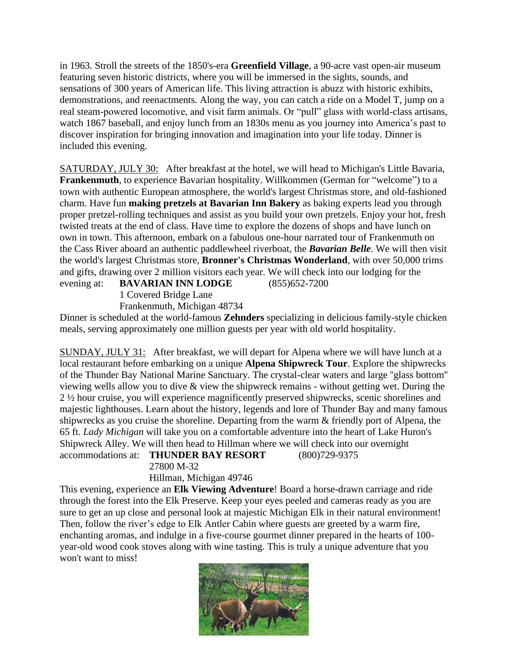in 1963. Stroll the streets of the 1850's-era **Greenfield Village**, a 90-acre vast open-air museum featuring seven historic districts, where you will be immersed in the sights, sounds, and sensations of 300 years of American life. This living attraction is abuzz with historic exhibits, demonstrations, and reenactments. Along the way, you can catch a ride on a Model T, jump on a real steam-powered locomotive, and visit farm animals. Or "pull" glass with world-class artisans, watch 1867 baseball, and enjoy lunch from an 1830s menu as you journey into America's past to discover inspiration for bringing innovation and imagination into your life today. Dinner is included this evening.

SATURDAY, JULY 30: After breakfast at the hotel, we will head to Michigan's Little Bavaria, **Frankenmuth**, to experience Bavarian hospitality. Willkommen (German for "welcome") to a town with authentic European atmosphere, the world's largest Christmas store, and old-fashioned charm. Have fun **making pretzels at Bavarian Inn Bakery** as baking experts lead you through proper pretzel-rolling techniques and assist as you build your own pretzels. Enjoy your hot, fresh twisted treats at the end of class. Have time to explore the dozens of shops and have lunch on own in town. This afternoon, embark on a fabulous one-hour narrated tour of Frankenmuth on the Cass River aboard an authentic paddlewheel riverboat, the *Bavarian Belle*. We will then visit the world's largest Christmas store, **Bronner's Christmas Wonderland**, with over 50,000 trims and gifts, drawing over 2 million visitors each year. We will check into our lodging for the evening at: **BAVARIAN INN LODGE** (855)652-7200

1 Covered Bridge Lane

Frankenmuth, Michigan 48734

Dinner is scheduled at the world-famous **Zehnders** specializing in delicious family-style chicken meals, serving approximately one million guests per year with old world hospitality.

SUNDAY, JULY 31: After breakfast, we will depart for Alpena where we will have lunch at a local restaurant before embarking on a unique **Alpena Shipwreck Tour**. Explore the shipwrecks of the Thunder Bay National Marine Sanctuary. The crystal-clear waters and large ''glass bottom'' viewing wells allow you to dive & view the shipwreck remains - without getting wet. During the 2 ½ hour cruise, you will experience magnificently preserved shipwrecks, scenic shorelines and majestic lighthouses. Learn about the history, legends and lore of Thunder Bay and many famous shipwrecks as you cruise the shoreline. Departing from the warm & friendly port of Alpena, the 65 ft. *Lady Michigan* will take you on a comfortable adventure into the heart of Lake Huron's Shipwreck Alley. We will then head to Hillman where we will check into our overnight accommodations at: **THUNDER BAY RESORT** (800)729-9375

27800 M-32

Hillman, Michigan 49746

This evening, experience an **Elk Viewing Adventure**! Board a horse-drawn carriage and ride through the forest into the Elk Preserve. Keep your eyes peeled and cameras ready as you are sure to get an up close and personal look at majestic Michigan Elk in their natural environment! Then, follow the river's edge to Elk Antler Cabin where guests are greeted by a warm fire, enchanting aromas, and indulge in a five-course gourmet dinner prepared in the hearts of 100 year-old wood cook stoves along with wine tasting. This is truly a unique adventure that you won't want to miss!

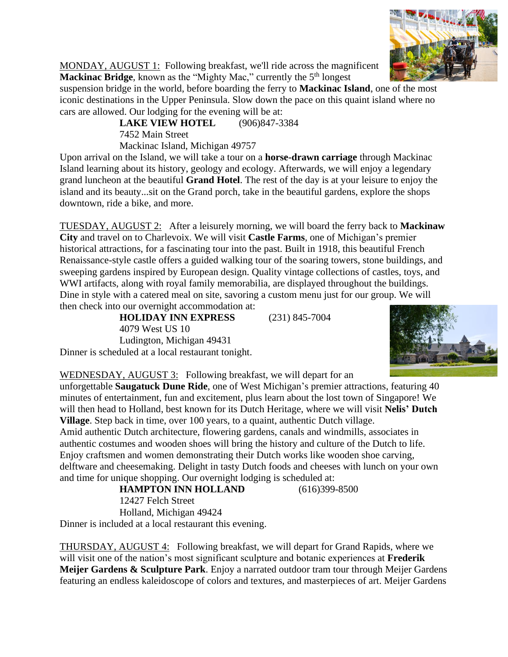

MONDAY, AUGUST 1: Following breakfast, we'll ride across the magnificent **Mackinac Bridge**, known as the "Mighty Mac," currently the 5<sup>th</sup> longest

suspension bridge in the world, before boarding the ferry to **Mackinac Island**, one of the most iconic destinations in the Upper Peninsula. Slow down the pace on this quaint island where no cars are allowed. Our lodging for the evening will be at:

**LAKE VIEW HOTEL** (906)847-3384 7452 Main Street Mackinac Island, Michigan 49757

Upon arrival on the Island, we will take a tour on a **horse-drawn carriage** through Mackinac Island learning about its history, geology and ecology. Afterwards, we will enjoy a legendary grand luncheon at the beautiful **Grand Hotel**. The rest of the day is at your leisure to enjoy the island and its beauty...sit on the Grand porch, take in the beautiful gardens, explore the shops downtown, ride a bike, and more.

TUESDAY, AUGUST 2: After a leisurely morning, we will board the ferry back to **Mackinaw City** and travel on to Charlevoix. We will visit **Castle Farms**, one of Michigan's premier historical attractions, for a fascinating tour into the past. Built in 1918, this beautiful French Renaissance-style castle offers a guided walking tour of the soaring towers, stone buildings, and sweeping gardens inspired by European design. Quality vintage collections of castles, toys, and WWI artifacts, along with royal family memorabilia, are displayed throughout the buildings. Dine in style with a catered meal on site, savoring a custom menu just for our group. We will then check into our overnight accommodation at:

**HOLIDAY INN EXPRESS** (231) 845-7004 4079 West US 10 Ludington, Michigan 49431 Dinner is scheduled at a local restaurant tonight.



WEDNESDAY, AUGUST 3: Following breakfast, we will depart for an

unforgettable **Saugatuck Dune Ride**, one of West Michigan's premier attractions, featuring 40 minutes of entertainment, fun and excitement, plus learn about the lost town of Singapore! We will then head to Holland, best known for its Dutch Heritage, where we will visit **Nelis' Dutch Village**. Step back in time, over 100 years, to a quaint, authentic Dutch village. Amid authentic Dutch architecture, flowering gardens, canals and windmills, associates in authentic costumes and wooden shoes will bring the history and culture of the Dutch to life. Enjoy craftsmen and women demonstrating their Dutch works like wooden shoe carving, delftware and cheesemaking. Delight in tasty Dutch foods and cheeses with lunch on your own

and time for unique shopping. Our overnight lodging is scheduled at: **HAMPTON INN HOLLAND** (616)399-8500 12427 Felch Street Holland, Michigan 49424 Dinner is included at a local restaurant this evening.

THURSDAY, AUGUST 4: Following breakfast, we will depart for Grand Rapids, where we will visit one of the nation's most significant sculpture and botanic experiences at **Frederik Meijer Gardens & Sculpture Park**. Enjoy a narrated outdoor tram tour through Meijer Gardens featuring an endless kaleidoscope of colors and textures, and masterpieces of art. Meijer Gardens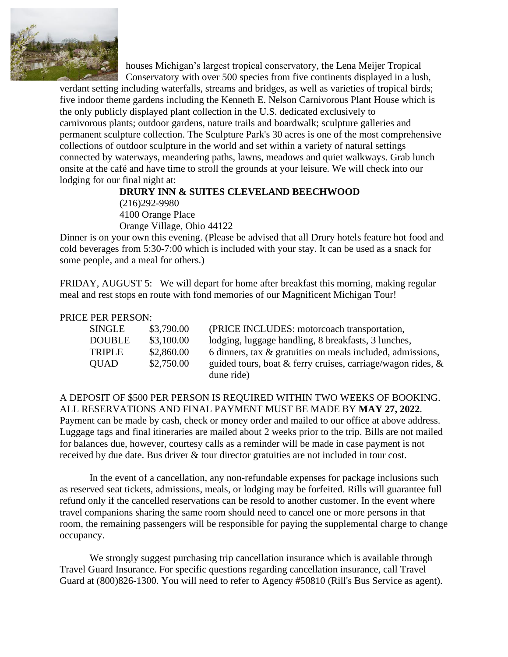

houses Michigan's largest tropical conservatory, the Lena Meijer Tropical Conservatory with over 500 species from five continents displayed in a lush,

verdant setting including waterfalls, streams and bridges, as well as varieties of tropical birds; five indoor theme gardens including the Kenneth E. Nelson Carnivorous Plant House which is the only publicly displayed plant collection in the U.S. dedicated exclusively to carnivorous plants; outdoor gardens, nature trails and boardwalk; sculpture galleries and permanent sculpture collection. The Sculpture Park's 30 acres is one of the most comprehensive collections of outdoor sculpture in the world and set within a variety of natural settings connected by waterways, meandering paths, lawns, meadows and quiet walkways. Grab lunch onsite at the café and have time to stroll the grounds at your leisure. We will check into our lodging for our final night at:

## **DRURY INN & SUITES CLEVELAND BEECHWOOD**

(216)292-9980 4100 Orange Place Orange Village, Ohio 44122

Dinner is on your own this evening. (Please be advised that all Drury hotels feature hot food and cold beverages from 5:30-7:00 which is included with your stay. It can be used as a snack for some people, and a meal for others.)

FRIDAY, AUGUST 5: We will depart for home after breakfast this morning, making regular meal and rest stops en route with fond memories of our Magnificent Michigan Tour!

## PRICE PER PERSON:

| SINGLE        | \$3,790.00 | (PRICE INCLUDES: motorcoach transportation,                    |
|---------------|------------|----------------------------------------------------------------|
| <b>DOUBLE</b> | \$3,100.00 | lodging, luggage handling, 8 breakfasts, 3 lunches,            |
| <b>TRIPLE</b> | \$2,860.00 | 6 dinners, tax $\&$ gratuities on meals included, admissions,  |
| <b>QUAD</b>   | \$2,750.00 | guided tours, boat & ferry cruises, carriage/wagon rides, $\&$ |
|               |            | dune ride)                                                     |

A DEPOSIT OF \$500 PER PERSON IS REQUIRED WITHIN TWO WEEKS OF BOOKING. ALL RESERVATIONS AND FINAL PAYMENT MUST BE MADE BY **MAY 27, 2022**. Payment can be made by cash, check or money order and mailed to our office at above address. Luggage tags and final itineraries are mailed about 2 weeks prior to the trip. Bills are not mailed for balances due, however, courtesy calls as a reminder will be made in case payment is not received by due date. Bus driver & tour director gratuities are not included in tour cost.

In the event of a cancellation, any non-refundable expenses for package inclusions such as reserved seat tickets, admissions, meals, or lodging may be forfeited. Rills will guarantee full refund only if the cancelled reservations can be resold to another customer. In the event where travel companions sharing the same room should need to cancel one or more persons in that room, the remaining passengers will be responsible for paying the supplemental charge to change occupancy.

We strongly suggest purchasing trip cancellation insurance which is available through Travel Guard Insurance. For specific questions regarding cancellation insurance, call Travel Guard at (800)826-1300. You will need to refer to Agency #50810 (Rill's Bus Service as agent).